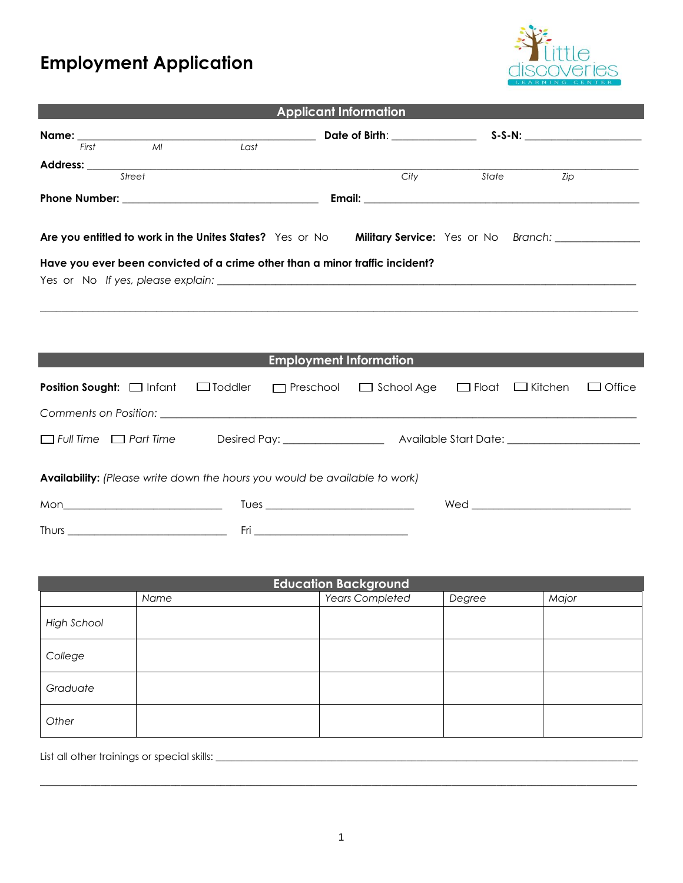## **Employment Application**



| <b>Applicant Information</b>                                                                                                                                                                                                        |                |                               |                   |              |                |               |
|-------------------------------------------------------------------------------------------------------------------------------------------------------------------------------------------------------------------------------------|----------------|-------------------------------|-------------------|--------------|----------------|---------------|
|                                                                                                                                                                                                                                     |                |                               |                   |              |                |               |
|                                                                                                                                                                                                                                     |                |                               |                   |              |                |               |
| Address: <u>Street (Street Construction of the Street</u> Construction of the Street Construction of the Street Construction of the Street Construction of the Street Construction of the Street Construction of the Street Constru |                |                               | City              | State        | Zip            |               |
|                                                                                                                                                                                                                                     |                |                               |                   |              |                |               |
|                                                                                                                                                                                                                                     |                |                               |                   |              |                |               |
|                                                                                                                                                                                                                                     |                |                               |                   |              |                |               |
| Are you entitled to work in the Unites States? Yes or No Military Service: Yes or No Branch: ________________                                                                                                                       |                |                               |                   |              |                |               |
| Have you ever been convicted of a crime other than a minor traffic incident?                                                                                                                                                        |                |                               |                   |              |                |               |
|                                                                                                                                                                                                                                     |                |                               |                   |              |                |               |
|                                                                                                                                                                                                                                     |                |                               |                   |              |                |               |
|                                                                                                                                                                                                                                     |                |                               |                   |              |                |               |
|                                                                                                                                                                                                                                     |                |                               |                   |              |                |               |
|                                                                                                                                                                                                                                     |                | <b>Employment Information</b> |                   |              |                |               |
| Position Sought: a Infant                                                                                                                                                                                                           | $\Box$ Toddler | $\Box$ Preschool              | $\Box$ School Age | $\Box$ Float | $\Box$ Kitchen | $\Box$ Office |
|                                                                                                                                                                                                                                     |                |                               |                   |              |                |               |
| $\Box$ Full Time $\Box$ Part Time                                                                                                                                                                                                   |                |                               |                   |              |                |               |
|                                                                                                                                                                                                                                     |                |                               |                   |              |                |               |
| Availability: (Please write down the hours you would be available to work)                                                                                                                                                          |                |                               |                   |              |                |               |
|                                                                                                                                                                                                                                     |                |                               |                   |              |                |               |
|                                                                                                                                                                                                                                     |                |                               |                   |              |                |               |
|                                                                                                                                                                                                                                     |                |                               |                   |              |                |               |

| <b>Education Background</b> |      |                        |        |       |  |
|-----------------------------|------|------------------------|--------|-------|--|
|                             | Name | <b>Years Completed</b> | Degree | Major |  |
| <b>High School</b>          |      |                        |        |       |  |
| College                     |      |                        |        |       |  |
| Graduate                    |      |                        |        |       |  |
| Other                       |      |                        |        |       |  |

List all other trainings or special skills: \_\_\_\_\_\_\_\_\_\_\_\_\_\_\_\_\_\_\_\_\_\_\_\_\_\_\_\_\_\_\_\_\_\_\_\_\_\_\_\_\_\_\_\_\_\_\_\_\_\_\_\_\_\_\_\_\_\_\_\_\_\_\_\_\_\_\_\_\_\_\_\_\_\_\_\_\_\_\_\_\_\_\_\_

 $\_$  ,  $\_$  ,  $\_$  ,  $\_$  ,  $\_$  ,  $\_$  ,  $\_$  ,  $\_$  ,  $\_$  ,  $\_$  ,  $\_$  ,  $\_$  ,  $\_$  ,  $\_$  ,  $\_$  ,  $\_$  ,  $\_$  ,  $\_$  ,  $\_$  ,  $\_$  ,  $\_$  ,  $\_$  ,  $\_$  ,  $\_$  ,  $\_$  ,  $\_$  ,  $\_$  ,  $\_$  ,  $\_$  ,  $\_$  ,  $\_$  ,  $\_$  ,  $\_$  ,  $\_$  ,  $\_$  ,  $\_$  ,  $\_$  ,